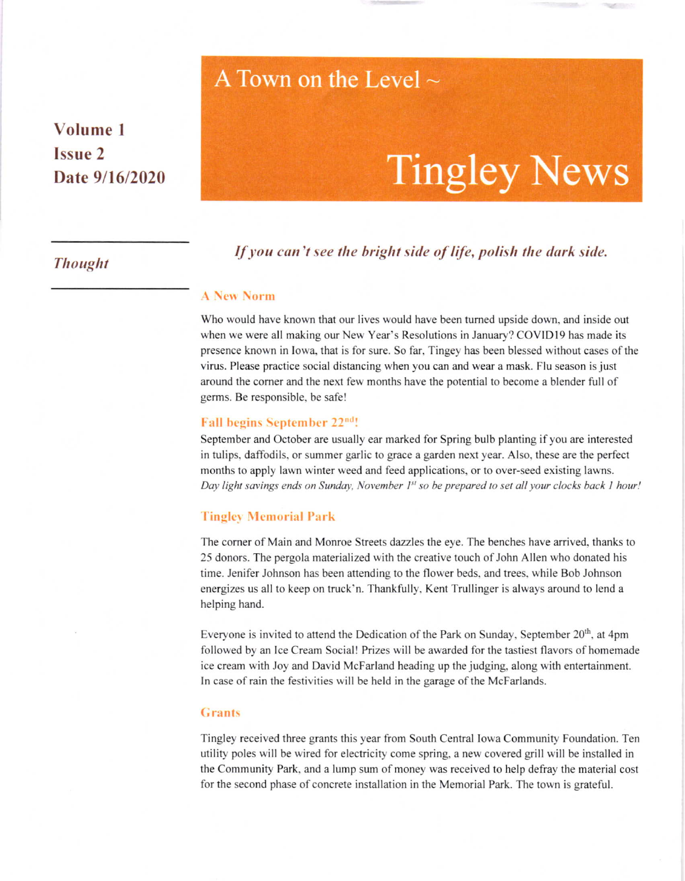# A Town on the Level  $\sim$

## Volume I Issue 2 Date  $9/16/2020$

# **Tingley News**

## If you can't see the bright side of life, polish the dark side.

#### **A New Norm**

Who would have krown that our lives would have been tumed upside down, and inside out when we were all making our New Year's Resolutions in January? COVIDI9 has made its presence known in Iowa, that is for sure. So far, Tingey has been blessed without cases of the virus. Please practice social distancing when you can and wear a mask. Flu season is just around the corner and the next few months have the potential to become a blender full of germs. Be responsible, be safe!

#### Fall begins September 22<sup>nd</sup>!

September and October are usually ear marked for Spring bulb planting if you are interested in tulips, daffodils, or summer garlic to grace a garden next year. Also, these are the perfect months to apply lawn winter weed and feed applications, or to over-seed existing lawns. Day light savings ends on Sunday, November  $I<sup>st</sup>$  so be prepared to set all your clocks back 1 hour!

#### **Tingley Memorial Park**

The corner of Main and Monroe Streels dazzles the eye. The benches have arrived, thanks to 25 donors. The pergola materialized with the creative touch of John Allen who donated his time. Jenifer Johnson has been attending to the flower beds, and trees, while Bob Johnson energizes us all to keep on truck'n. Thankfully, Kent Trullinger is always around to lend a helping hand.

Everyone is invited to attend the Dedication of the Park on Sunday, September 20<sup>th</sup>, at 4pm followed by an Ice Cream Social! Prizes will be awarded for the tastiest flavors of homemade ice cream with Joy and David McFarland heading up the judging, along with entertainment. In case of rain the festivities will be held in the garage of the McFarlands.

#### Grants

Tingley received three grants this year from South Central Iowa Community Foundation. Ten utility poles will be wired for electricity come spring, a new covered grill will be installed in the Community Park, and a lump sum of money was received to help defray the material cost for the second phase of concrete installation in the Memorial Park. The town is grateful.

## **Thought**